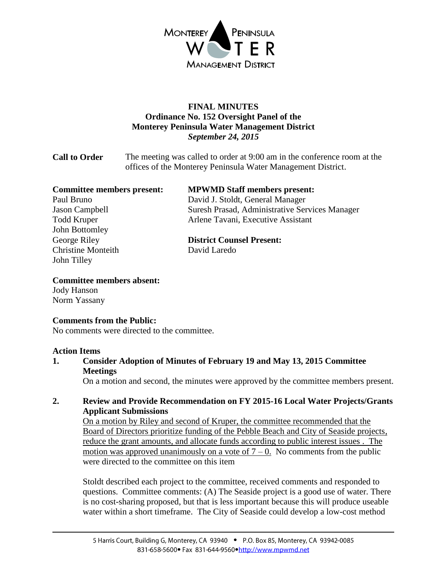

# **FINAL MINUTES Ordinance No. 152 Oversight Panel of the Monterey Peninsula Water Management District** *September 24, 2015*

**Call to Order** The meeting was called to order at 9:00 am in the conference room at the offices of the Monterey Peninsula Water Management District.

| <b>Committee members present:</b> | <b>MPWMD Staff members present:</b>            |
|-----------------------------------|------------------------------------------------|
| Paul Bruno                        | David J. Stoldt, General Manager               |
| Jason Campbell                    | Suresh Prasad, Administrative Services Manager |
| <b>Todd Kruper</b>                | Arlene Tavani, Executive Assistant             |
| John Bottomley                    |                                                |
| George Riley                      | <b>District Counsel Present:</b>               |
| <b>Christine Monteith</b>         | David Laredo                                   |
| John Tilley                       |                                                |

### **Committee members absent:**

Jody Hanson Norm Yassany

### **Comments from the Public:**

No comments were directed to the committee.

#### **Action Items**

**1. Consider Adoption of Minutes of February 19 and May 13, 2015 Committee Meetings**

On a motion and second, the minutes were approved by the committee members present.

### **2. Review and Provide Recommendation on FY 2015-16 Local Water Projects/Grants Applicant Submissions**

On a motion by Riley and second of Kruper, the committee recommended that the Board of Directors prioritize funding of the Pebble Beach and City of Seaside projects, reduce the grant amounts, and allocate funds according to public interest issues . The motion was approved unanimously on a vote of  $7 - 0$ . No comments from the public were directed to the committee on this item

Stoldt described each project to the committee, received comments and responded to questions. Committee comments: (A) The Seaside project is a good use of water. There is no cost-sharing proposed, but that is less important because this will produce useable water within a short timeframe. The City of Seaside could develop a low-cost method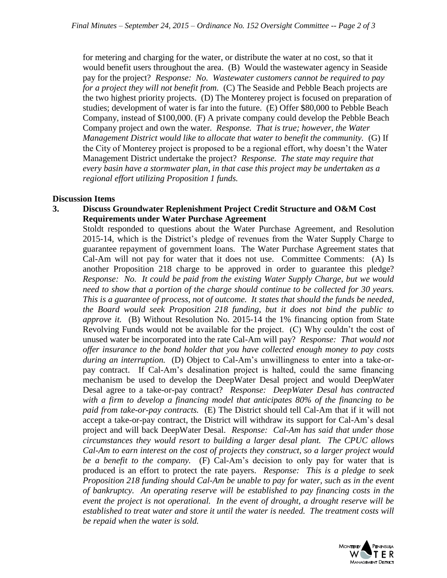for metering and charging for the water, or distribute the water at no cost, so that it would benefit users throughout the area. (B) Would the wastewater agency in Seaside pay for the project? *Response: No. Wastewater customers cannot be required to pay for a project they will not benefit from.* (C) The Seaside and Pebble Beach projects are the two highest priority projects. (D) The Monterey project is focused on preparation of studies; development of water is far into the future. (E) Offer \$80,000 to Pebble Beach Company, instead of \$100,000. (F) A private company could develop the Pebble Beach Company project and own the water. *Response. That is true; however, the Water Management District would like to allocate that water to benefit the community.* (G) If the City of Monterey project is proposed to be a regional effort, why doesn't the Water Management District undertake the project? *Response. The state may require that every basin have a stormwater plan, in that case this project may be undertaken as a regional effort utilizing Proposition 1 funds.*

#### **Discussion Items**

#### **3. Discuss Groundwater Replenishment Project Credit Structure and O&M Cost Requirements under Water Purchase Agreement**

Stoldt responded to questions about the Water Purchase Agreement, and Resolution 2015-14, which is the District's pledge of revenues from the Water Supply Charge to guarantee repayment of government loans. The Water Purchase Agreement states that Cal-Am will not pay for water that it does not use. Committee Comments: (A) Is another Proposition 218 charge to be approved in order to guarantee this pledge? *Response: No. It could be paid from the existing Water Supply Charge, but we would need to show that a portion of the charge should continue to be collected for 30 years. This is a guarantee of process, not of outcome. It states that should the funds be needed, the Board would seek Proposition 218 funding, but it does not bind the public to approve it.* (B) Without Resolution No. 2015-14 the 1% financing option from State Revolving Funds would not be available for the project. (C) Why couldn't the cost of unused water be incorporated into the rate Cal-Am will pay? *Response: That would not offer insurance to the bond holder that you have collected enough money to pay costs during an interruption.* (D) Object to Cal-Am's unwillingness to enter into a take-orpay contract. If Cal-Am's desalination project is halted, could the same financing mechanism be used to develop the DeepWater Desal project and would DeepWater Desal agree to a take-or-pay contract? *Response: DeepWater Desal has contracted with a firm to develop a financing model that anticipates 80% of the financing to be paid from take-or-pay contracts.* (E) The District should tell Cal-Am that if it will not accept a take-or-pay contract, the District will withdraw its support for Cal-Am's desal project and will back DeepWater Desal. *Response: Cal-Am has said that under those circumstances they would resort to building a larger desal plant. The CPUC allows Cal-Am to earn interest on the cost of projects they construct, so a larger project would be a benefit to the company.* (F) Cal-Am's decision to only pay for water that is produced is an effort to protect the rate payers. *Response: This is a pledge to seek Proposition 218 funding should Cal-Am be unable to pay for water, such as in the event of bankruptcy. An operating reserve will be established to pay financing costs in the event the project is not operational. In the event of drought, a drought reserve will be established to treat water and store it until the water is needed. The treatment costs will be repaid when the water is sold.*